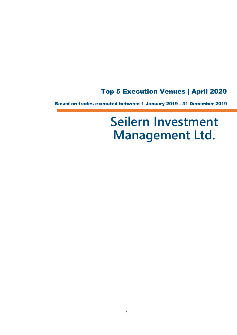# Top 5 Execution Venues | April 2020

Based on trades executed between 1 January 2019 - 31 December 2019

# **Seilern Investment Management Ltd.**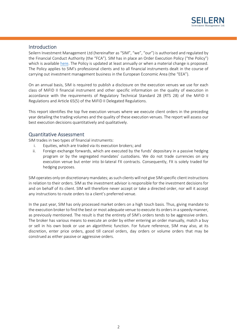

# Introduction

í

Seilern Investment Management Ltd (hereinafter as "SIM", "we", "our") is authorised and regulated by the Financial Conduct Authority (the "FCA"). SIM has in place an Order Execution Policy ("the Policy") which is available [here.](file://///SI-CTERA.SI.local/Company%20Share/5.%20COMPLIANCE/3.%20POLICIES%20&%20PROCEDURES/POLICIES%202020/SIM%20-%20Best%20Execution%20Policy%202020.pdf) The Policy is updated at least annually or when a material change is proposed. The Policy applies to SIM's professional clients and to all financial instruments dealt in the course of carrying out investment management business in the European Economic Area (the "EEA").

On an annual basis, SIM is required to publish a disclosure on the execution venues we use for each class of MiFID II financial instrument and other specific information on the quality of execution in accordance with the requirements of Regulatory Technical Standard 28 (RTS 28) of the MiFID II Regulations and Article 65(5) of the MiFID II Delegated Regulations.

This report identifies the top five execution venues where we execute client orders in the preceding year detailing the trading volumes and the quality of these execution venues. The report will assess our best execution decisions quantitatively and qualitatively.

# Quantitative Assessment

SIM trades in two types of financial instruments:

- i. Equities, which are traded via its execution brokers; and
- ii. Foreign exchange forwards, which are executed by the funds' depositary in a passive hedging program or by the segregated mandates' custodians. We do not trade currencies on any execution venue but enter into bi-lateral FX contracts. Consequently, FX is solely traded for hedging purposes.

SIM operates only on discretionary mandates; as such clients will not give SIM specific client instructions in relation to their orders. SIM as the investment advisor is responsible for the investment decisions for and on behalf of its client. SIM will therefore never accept or take a directed order, nor will it accept any instructions to route orders to a client's preferred venue.

In the past year, SIM has only processed market orders on a high touch basis. Thus, giving mandate to the execution broker to find the best or most adequate venue to execute its orders in a speedy manner, as previously mentioned. The result is that the entirety of SIM's orders tends to be aggressive orders. The broker has various means to execute an order by either entering an order manually, match a buy or sell in his own book or use an algorithmic function. For future reference, SIM may also, at its discretion, enter price orders, good till cancel orders, day orders or volume orders that may be construed as either passive or aggressive orders.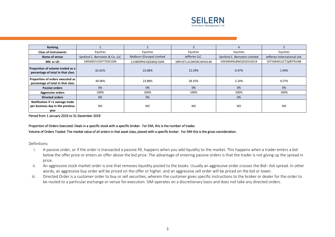

| Ranking                                                                      |                                |                          |                      |                              |                              |
|------------------------------------------------------------------------------|--------------------------------|--------------------------|----------------------|------------------------------|------------------------------|
| <b>Class of instruments</b>                                                  | Equities                       | Equities                 | Equities             | Equities                     | Equities                     |
| Name of venue                                                                | Sanford C. Bernstein & Co. LLC | Redburn (Europe) Limited | Jefferies LLC        | Sanford C. Bernstein Limited | Jefferies International Ltd. |
| MIC or LEI                                                                   | 54930017JYZHT7D5CO04           | 213800PKEJQZQXQCOJ04     | 58PU97L1C0WSRCWADL48 | 54930049G8WQ5OOUSD19         | S5THZMDUJCTQZBTRVI98         |
| Proportion of volume traded as a<br>percentage of total in that class        | 62.61%                         | 22.68%                   | 12.29%               | 0.47%                        | 1.94%                        |
| Proportion of orders executed as<br>percentage of total in that class        | 40.96%                         | 23.88%                   | 28.35%               | 2.24%                        | 4.57%                        |
| <b>Passive orders</b>                                                        | 0%                             | 0%                       | 0%                   | 0%                           | 0%                           |
| <b>Aggressive orders</b>                                                     | 100%                           | 100%                     | 100%                 | 100%                         | 100%                         |
| <b>Directed orders</b>                                                       | 0%                             | 0%                       |                      | 0%                           |                              |
| Notification if <1 average trade<br>per business day in the previous<br>year | <b>NO</b>                      | N <sub>O</sub>           | <b>NO</b>            | <b>NO</b>                    | <b>NO</b>                    |

Period from 1 January 2019 to 31 December 2019

#### Proportion of Orders Executed: Deals in a specific stock with a specific broker. For SIM, this is the number of trades

#### Volume of Orders Traded: The market value of all orders in that asset class, placed with a specific broker. For SIM this is the gross consideration.

#### Definitions

j

- i. A passive order, or if the order is transacted a passive fill, happens when you add liquidity to the market. This happens when a trader enters a bid below the offer price or enters an offer above the bid price. The advantage of entering passive orders is that the trader is not giving up the spread in price.
- ii. An aggressive stock market order is one that removes liquidity posted to the books. Usually an aggressive order crosses the Bid– Ask spread. In other words, an aggressive buy order will be priced on the offer or higher, and an aggressive sell order will be priced on the bid or lower.
- iii. Directed Order is a customer order to buy or sell securities, wherein the customer gives specific instructions to the broker or dealer for the order to be routed to a particular exchange or venue for execution. SIM operates on a discretionary basis and does not take any directed orders.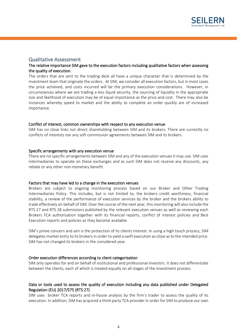

# Qualitative Assessment

# The relative importance SIM gave to the execution factors including qualitative factors when assessing the quality of execution.

The orders that are sent to the trading desk all have a unique character that is determined by the investment team that originate the orders. At SIM, we consider all execution factors, but in most cases the price achieved, and costs incurred will be the primary execution considerations. However, in circumstances where we are trading a less liquid security, the sourcing of liquidity in the appropriate size and likelihood of execution may be of equal importance as the price and cost. There may also be instances whereby speed to market and the ability to complete an order quickly are of increased importance.

## Conflict of interest, common ownerships with respect to any execution venue

SIM has no close links nor direct shareholding between SIM and its brokers. There are currently no conflicts of interests nor any soft commission agreements between SIM and its brokers.

## Specific arrangements with any execution venue

There are no specific arrangements between SIM and any of the execution venues it may use. SIM uses intermediaries to operate on these exchanges and as such SIM does not receive any discounts, any rebate or any other non-monetary benefit.

#### Factors that may have led to a change in the execution venues

Brokers are subject to ongoing monitoring process based on our Broker and Other Trading Intermediaries Policy. This includes, but is not limited to, the brokers credit worthiness, financial stability, a review of the performance of execution services by the broker and the brokers ability to trade effectively on behalf of SIM. Over the course of the next year, this monitoring will also include the RTS 27 and RTS 28 submissions published by the relevant execution venues as well as reviewing each Brokers FCA authorisation together with its financial reports, conflict of interest policies and Best Execution reports and policies as they become available.

SIM's prime concern and aim is the protection of its clients interest. In using a high touch process, SIM delegates market entry to its brokers in order to yield a swift execution as close as to the intended price. SIM has not changed its brokers in the considered year.

#### Order execution differences according to client categorisation

SIM only operates for and on behalf of institutional and professional investors. It does not differentiate between the clients, each of which is treated equally on all stages of the investment process.

# Data or tools used to assess the quality of execution including any data published under Delegated Regulation (EU) 2017/575 (RTS 27)

SIM uses broker TCA reports and in-house analysis by the firm's trader to assess the quality of its execution. In addition, SIM has acquired a third-party TCA provider in order for SIM to produce our own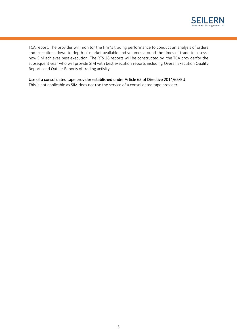

TCA report. The provider will monitor the firm's trading performance to conduct an analysis of orders and executions down to depth of market available and volumes around the times of trade to assesss how SIM achieves best execution. The RTS 28 reports will be constructed by the TCA providerfor the subsequent year who will provide SIM with best execution reports including Overall Execution Quality Reports and Outlier Reports of trading activity.

# Use of a consolidated tape provider established under Article 65 of Directive 2014/65/EU

This is not applicable as SIM does not use the service of a consolidated tape provider.